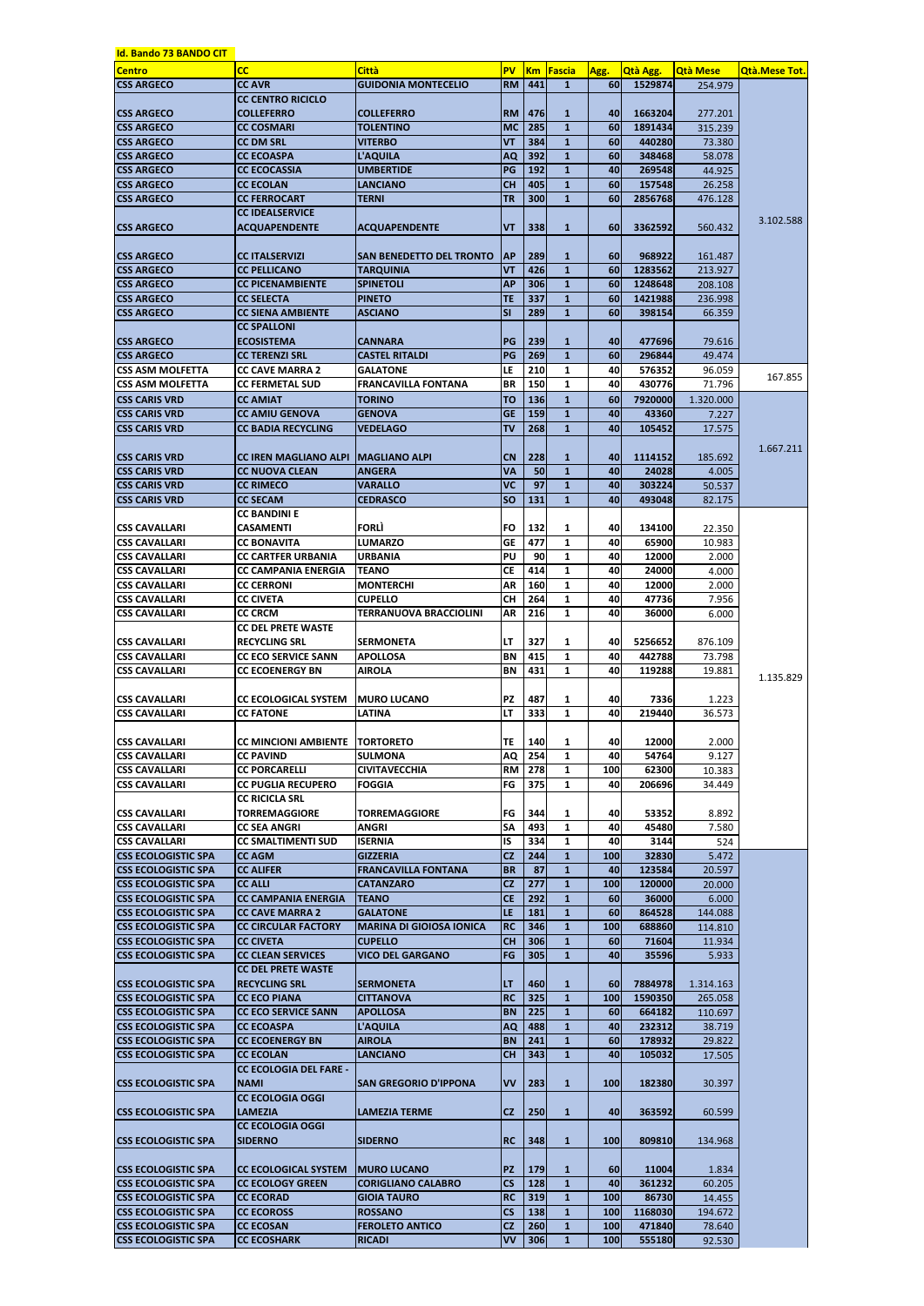| <b>Id. Bando 73 BANDO CIT</b> |                                         |                                 |                          |           |              |            |                 |                 |                      |
|-------------------------------|-----------------------------------------|---------------------------------|--------------------------|-----------|--------------|------------|-----------------|-----------------|----------------------|
| <b>Centro</b>                 | cc                                      | <b>Città</b>                    | <b>PV</b>                | <b>Km</b> | Fascia       | Agg.       | <b>Qtà Agg.</b> | <b>Qtà Mese</b> | <b>Qtà.Mese Tot.</b> |
| <b>CSS ARGECO</b>             | <b>CC AVR</b>                           | <b>GUIDONIA MONTECELIO</b>      | <b>RM</b>                | 441       | $\mathbf{1}$ | <b>60</b>  | 1529874         | 254.979         |                      |
|                               | <b>CC CENTRO RICICLO</b>                |                                 |                          |           |              |            |                 |                 |                      |
| <b>CSS ARGECO</b>             | <b>COLLEFERRO</b>                       | <b>COLLEFERRO</b>               | <b>RM</b>                | 476       | $\mathbf{1}$ | 40         | 1663204         | 277.201         |                      |
| <b>CSS ARGECO</b>             | <b>CC COSMARI</b>                       | <b>TOLENTINO</b>                | <b>MC</b>                | 285       | $\mathbf{1}$ | 60         | 1891434         | 315.239         |                      |
| <b>CSS ARGECO</b>             | <b>CC DM SRL</b>                        | <b>VITERBO</b>                  | <b>VT</b>                | 384       | $\mathbf{1}$ | 60         | 440280          | 73.380          |                      |
| <b>CSS ARGECO</b>             | <b>CC ECOASPA</b>                       | <b>L'AQUILA</b>                 | <b>AQ</b>                | 392       | $\mathbf{1}$ | 60         | 348468          | 58.078          |                      |
| <b>CSS ARGECO</b>             | <b>CC ECOCASSIA</b>                     | <b>UMBERTIDE</b>                | PG                       | 192       | $\mathbf{1}$ | 40         | 269548          | 44.925          |                      |
| <b>CSS ARGECO</b>             | <b>CC ECOLAN</b>                        | <b>LANCIANO</b>                 | <b>CH</b>                | 405       | $\mathbf{1}$ | 60         | 157548          | 26.258          |                      |
| <b>CSS ARGECO</b>             | <b>CC FERROCART</b>                     | TERNI                           | <b>TR</b>                | 300       | $\mathbf{1}$ | 60         | 2856768         | 476.128         |                      |
|                               | <b>CC IDEALSERVICE</b>                  |                                 |                          |           |              |            |                 |                 | 3.102.588            |
| <b>ICSS ARGECO</b>            | <b>ACQUAPENDENTE</b>                    | <b>ACQUAPENDENTE</b>            | <b>VT</b>                | 338       | $\mathbf{1}$ | 60         | 3362592         | 560.432         |                      |
|                               |                                         |                                 |                          |           |              |            |                 |                 |                      |
| <b>ICSS ARGECO</b>            | <b>CC ITALSERVIZI</b>                   | SAN BENEDETTO DEL TRONTO        | <b>AP</b>                | 289       | 1            | 60         | 968922          | 161.487         |                      |
| <b>CSS ARGECO</b>             | <b>CC PELLICANO</b>                     | <b>TARQUINIA</b>                | <b>VT</b>                | 426       | $\mathbf{1}$ | 60         | 1283562         | 213.927         |                      |
| <b>CSS ARGECO</b>             | <b>CC PICENAMBIENTE</b>                 | <b>SPINETOLI</b>                | <b>AP</b>                | 306       | $\mathbf{1}$ | 60         | 1248648         | 208.108         |                      |
| <b>CSS ARGECO</b>             | <b>CC SELECTA</b>                       | <b>PINETO</b>                   | <b>TE</b>                | 337       | $\mathbf{1}$ | 60         | 1421988         | 236.998         |                      |
| <b>CSS ARGECO</b>             | <b>CC SIENA AMBIENTE</b>                | <b>ASCIANO</b>                  | <b>SI</b>                | 289       | $\mathbf{1}$ | 60         | 398154          | 66.359          |                      |
|                               | <b>CC SPALLONI</b>                      |                                 |                          |           |              |            |                 |                 |                      |
| <b>ICSS ARGECO</b>            | <b>ECOSISTEMA</b>                       | <b>CANNARA</b>                  | PG                       | 239       | $\mathbf{1}$ | 40         | 477696          | 79.616          |                      |
| <b>CSS ARGECO</b>             | <b>CC TERENZI SRL</b>                   | <b>CASTEL RITALDI</b>           | PG                       | 269       | $\mathbf{1}$ | 60         | 296844          | 49.474          |                      |
| <b>CSS ASM MOLFETTA</b>       | <b>CC CAVE MARRA 2</b>                  | <b>GALATONE</b>                 | LE                       | 210       | $\mathbf{1}$ | 40         | 576352          | 96.059          | 167.855              |
| <b>CSS ASM MOLFETTA</b>       | <b>CC FERMETAL SUD</b>                  | <b>FRANCAVILLA FONTANA</b>      | <b>BR</b>                | 150       | $\mathbf{1}$ | 40         | 430776          | 71.796          |                      |
| <b>CSS CARIS VRD</b>          | <b>CC AMIAT</b>                         | <b>TORINO</b>                   | <b>TO</b>                | 136       | $\mathbf{1}$ | 60         | 7920000         | 1.320.000       |                      |
| <b>CSS CARIS VRD</b>          | <b>CC AMIU GENOVA</b>                   | <b>GENOVA</b>                   | <b>GE</b>                | 159       | $\mathbf{1}$ | 40         | 43360           | 7.227           |                      |
| <b>CSS CARIS VRD</b>          | <b>CC BADIA RECYCLING</b>               | <b>VEDELAGO</b>                 | <b>TV</b>                | 268       | $\mathbf{1}$ | 40         | 105452          | 17.575          |                      |
|                               |                                         |                                 |                          |           |              |            |                 |                 | 1.667.211            |
| <b>CSS CARIS VRD</b>          | <b>CC IREN MAGLIANO ALPI</b>            | <b>IMAGLIANO ALPI</b>           | <b>CN</b>                | 228       | $\mathbf{1}$ | 40         | 1114152         | 185.692         |                      |
| <b>CSS CARIS VRD</b>          | <b>CC NUOVA CLEAN</b>                   | <b>ANGERA</b>                   | <b>VA</b>                | 50        | $\mathbf{1}$ | 40         | 24028           | 4.005           |                      |
| <b>CSS CARIS VRD</b>          | <b>CC RIMECO</b>                        | <b>VARALLO</b>                  | <b>VC</b>                | 97        | $\mathbf{1}$ | 40         | 303224          | 50.537          |                      |
| <b>CSS CARIS VRD</b>          | <b>CC SECAM</b>                         | <b>CEDRASCO</b>                 | <b>SO</b>                | 131       | $\mathbf{1}$ | 40         | 493048          | 82.175          |                      |
|                               | <b>CC BANDINI E</b>                     |                                 |                          |           |              |            |                 |                 |                      |
| <b>CSS CAVALLARI</b>          | CASAMENTI                               | <b>FORLI</b>                    | <b>FO</b>                | 132       | 1            | 40         | 134100          | 22.350          |                      |
| <b>CSS CAVALLARI</b>          | <b>CC BONAVITA</b>                      | <b>LUMARZO</b>                  | $\overline{\mathsf{GE}}$ | 477       | $\mathbf{1}$ | 40         | 65900           | 10.983          |                      |
| ICSS CAVALLARI                | <b>CC CARTFER URBANIA</b>               | URBANIA                         | PU                       | 90        | 1            | 40         | 12000           | 2.000           |                      |
| <b>CSS CAVALLARI</b>          | <b>CC CAMPANIA ENERGIA</b>              | <b>TEANO</b>                    | <b>CE</b>                | 414       | 1            | 40         | 24000           | 4.000           |                      |
| <b>CSS CAVALLARI</b>          | <b>CC CERRONI</b>                       | <b>MONTERCHI</b>                | <b>AR</b>                | 160       | $\mathbf{1}$ | 40         | 12000           | 2.000           |                      |
| <b>CSS CAVALLARI</b>          | <b>CC CIVETA</b>                        | <b>CUPELLO</b>                  | <b>CH</b>                | 264       | $\mathbf{1}$ | 40         | 47736           | 7.956           |                      |
| <b>CSS CAVALLARI</b>          | <b>CC CRCM</b>                          | <b>TERRANUOVA BRACCIOLINI</b>   | AR                       | 216       | $\mathbf{1}$ | 40         | 36000           | 6.000           |                      |
|                               | <b>CC DEL PRETE WASTE</b>               |                                 |                          |           |              |            |                 |                 |                      |
| ICSS CAVALLARI                | <b>RECYCLING SRL</b>                    | <b>SERMONETA</b>                | LT                       | 327       | 1            | 40         | 5256652         | 876.109         |                      |
| <b>CSS CAVALLARI</b>          | <b>CC ECO SERVICE SANN</b>              | <b>APOLLOSA</b>                 | <b>BN</b>                | 415       | 1            | 40         | 442788          | 73.798          |                      |
| ICSS CAVALLARI                | <b>CC ECOENERGY BN</b>                  | <b>AIROLA</b>                   | <b>BN</b>                | 431       | $\mathbf{1}$ | 40         | 119288          | 19.881          | 1.135.829            |
|                               |                                         |                                 |                          |           |              |            |                 |                 |                      |
| <b>CSS CAVALLARI</b>          | <b>CC ECOLOGICAL SYSTEM</b>             | <b>MURO LUCANO</b>              | <b>PZ</b>                | 487       | 1            | 40         | 7336            | 1.223           |                      |
| <b>ICSS CAVALLARI</b>         | <b>CC FATONE</b>                        | <b>LATINA</b>                   | LT                       | 333       | $\mathbf{1}$ | 40         | 219440          | 36.573          |                      |
|                               |                                         |                                 |                          |           |              |            |                 |                 |                      |
| <b>CSS CAVALLARI</b>          | <b>CC MINCIONI AMBIENTE   TORTORETO</b> |                                 | TE                       | 140       | 1            | 40         | 12000           | 2.000           |                      |
| <b>CSS CAVALLARI</b>          | <b>CC PAVIND</b>                        | <b>SULMONA</b>                  | AQ                       | 254       | $\mathbf{1}$ | 40         | 54764           | 9.127           |                      |
| <b>CSS CAVALLARI</b>          | <b>CC PORCARELLI</b>                    | <b>CIVITAVECCHIA</b>            | <b>RM</b>                | 278       | $\mathbf{1}$ | 100        | 62300           | 10.383          |                      |
| <b>CSS CAVALLARI</b>          | <b>CC PUGLIA RECUPERO</b>               | <b>FOGGIA</b>                   | FG                       | 375       | $\mathbf{1}$ | 40         | 206696          | 34.449          |                      |
|                               | <b>CC RICICLA SRL</b>                   |                                 |                          |           |              |            |                 |                 |                      |
| ICSS CAVALLARI                | <b>TORREMAGGIORE</b>                    | <b>TORREMAGGIORE</b>            | FG                       | 344       | 1            | 40         | 53352           | 8.892           |                      |
| <b>CSS CAVALLARI</b>          | <b>CC SEA ANGRI</b>                     | ANGRI                           | <b>SA</b>                | 493       | 1            | 40         | 45480           | 7.580           |                      |
| ICSS CAVALLARI                | <b>CC SMALTIMENTI SUD</b>               | <b>ISERNIA</b>                  | <b>IS</b>                | 334       | 1            | 40         | 3144            | 524             |                      |
| <b>CSS ECOLOGISTIC SPA</b>    | <b>CC AGM</b>                           | <b>GIZZERIA</b>                 | CZ                       | 244       | $\mathbf{1}$ | 100        | 32830           | 5.472           |                      |
| <b>CSS ECOLOGISTIC SPA</b>    | <b>CC ALIFER</b>                        | <b>FRANCAVILLA FONTANA</b>      | <b>BR</b>                | 87        | $\mathbf{1}$ | 40         | 123584          | 20.597          |                      |
| <b>CSS ECOLOGISTIC SPA</b>    | <b>CC ALLI</b>                          | <b>CATANZARO</b>                | CZ                       | 277       | $\mathbf{1}$ | 100        | 120000          | 20.000          |                      |
| <b>CSS ECOLOGISTIC SPA</b>    | <b>CC CAMPANIA ENERGIA</b>              | <b>TEANO</b>                    | <b>CE</b>                | 292       | $\mathbf{1}$ | 60         | 36000           | 6.000           |                      |
| <b>CSS ECOLOGISTIC SPA</b>    | <b>CC CAVE MARRA 2</b>                  | <b>GALATONE</b>                 | LE                       | 181       | $\mathbf{1}$ | 60         | 864528          | 144.088         |                      |
| <b>CSS ECOLOGISTIC SPA</b>    | <b>CC CIRCULAR FACTORY</b>              | <b>MARINA DI GIOIOSA IONICA</b> | <b>RC</b>                | 346       | $\mathbf{1}$ | 100        | 688860          | 114.810         |                      |
| <b>CSS ECOLOGISTIC SPA</b>    | <b>CC CIVETA</b>                        | <b>CUPELLO</b>                  | <b>CH</b>                | 306       | $\mathbf{1}$ | 60         | 71604           | 11.934          |                      |
| <b>CSS ECOLOGISTIC SPA</b>    | <b>CC CLEAN SERVICES</b>                | <b>VICO DEL GARGANO</b>         | <b>FG</b>                | 305       | $\mathbf{1}$ | 40         | 35596           | 5.933           |                      |
|                               | <b>CC DEL PRETE WASTE</b>               |                                 |                          |           |              |            |                 |                 |                      |
| <b>CSS ECOLOGISTIC SPA</b>    | <b>RECYCLING SRL</b>                    | <b>SERMONETA</b>                | LT                       | 460       | $\mathbf{1}$ | <b>601</b> | 7884978         | 1.314.163       |                      |
| <b>CSS ECOLOGISTIC SPA</b>    | <b>CC ECO PIANA</b>                     | <b>CITTANOVA</b>                | <b>RC</b>                | 325       | $\mathbf{1}$ | <b>100</b> | 1590350         | 265.058         |                      |
| <b>CSS ECOLOGISTIC SPA</b>    | <b>CC ECO SERVICE SANN</b>              | <b>APOLLOSA</b>                 | <b>BN</b>                | 225       | $\mathbf{1}$ | 60         | 664182          | 110.697         |                      |
| ICSS ECOLOGISTIC SPA          | <b>CC ECOASPA</b>                       | <b>L'AQUILA</b>                 | <b>AQ</b>                | 488       | $\mathbf{1}$ | 40         | 232312          | 38.719          |                      |
| <b>CSS ECOLOGISTIC SPA</b>    | <b>CC ECOENERGY BN</b>                  | <b>AIROLA</b>                   | <b>BN</b>                | 241       | $\mathbf{1}$ | 60         | 178932          | 29.822          |                      |
| <b>CSS ECOLOGISTIC SPA</b>    | <b>CC ECOLAN</b>                        | <b>LANCIANO</b>                 | <b>CH</b>                | 343       | $\mathbf{1}$ | 40         | 105032          | 17.505          |                      |
|                               | <b>CC ECOLOGIA DEL FARE -</b>           |                                 |                          |           |              |            |                 |                 |                      |
| <b>CSS ECOLOGISTIC SPA</b>    | <b>NAMI</b>                             | <b>SAN GREGORIO D'IPPONA</b>    | <b>VV</b>                | 283       | $\mathbf{1}$ | <b>100</b> | 182380          | 30.397          |                      |
|                               | <b>CC ECOLOGIA OGGI</b>                 |                                 |                          |           |              |            |                 |                 |                      |
| <b>CSS ECOLOGISTIC SPA</b>    | <b>LAMEZIA</b>                          | <b>LAMEZIA TERME</b>            | CZ                       | 250       | $\mathbf{1}$ | 40         | 363592          | 60.599          |                      |
|                               | <b>CC ECOLOGIA OGGI</b>                 |                                 |                          |           |              |            |                 |                 |                      |
| ICSS ECOLOGISTIC SPA          | <b>SIDERNO</b>                          | <b>SIDERNO</b>                  | <b>RC</b>                | 348       | $\mathbf{1}$ | <b>100</b> | 809810          | 134.968         |                      |
|                               |                                         |                                 |                          |           |              |            |                 |                 |                      |
| <b>CSS ECOLOGISTIC SPA</b>    | <b>CC ECOLOGICAL SYSTEM</b>             | <b>MURO LUCANO</b>              | <b>PZ</b>                | 179       | $\mathbf{1}$ | 60         | 11004           | 1.834           |                      |
| <b>CSS ECOLOGISTIC SPA</b>    | <b>CC ECOLOGY GREEN</b>                 | <b>CORIGLIANO CALABRO</b>       | <b>CS</b>                | 128       | $\mathbf{1}$ | 40         | 361232          | 60.205          |                      |
| <b>CSS ECOLOGISTIC SPA</b>    | <b>CC ECORAD</b>                        | <b>GIOIA TAURO</b>              | <b>RC</b>                | 319       | $\mathbf{1}$ | <b>100</b> | 86730           | 14.455          |                      |
| <b>CSS ECOLOGISTIC SPA</b>    | <b>CC ECOROSS</b>                       | <b>ROSSANO</b>                  | $\mathsf{CS}\phantom{0}$ | 138       | $\mathbf{1}$ | <b>100</b> | 1168030         | 194.672         |                      |
| <b>CSS ECOLOGISTIC SPA</b>    | <b>CC ECOSAN</b>                        | <b>FEROLETO ANTICO</b>          | CZ                       | 260       | $\mathbf{1}$ | 100        | 471840          | 78.640          |                      |
| <b>CSS ECOLOGISTIC SPA</b>    | <b>CC ECOSHARK</b>                      | <b>RICADI</b>                   | <b>VV</b>                | 306       | $\mathbf{1}$ | 100        | 555180          | 92.530          |                      |
|                               |                                         |                                 |                          |           |              |            |                 |                 |                      |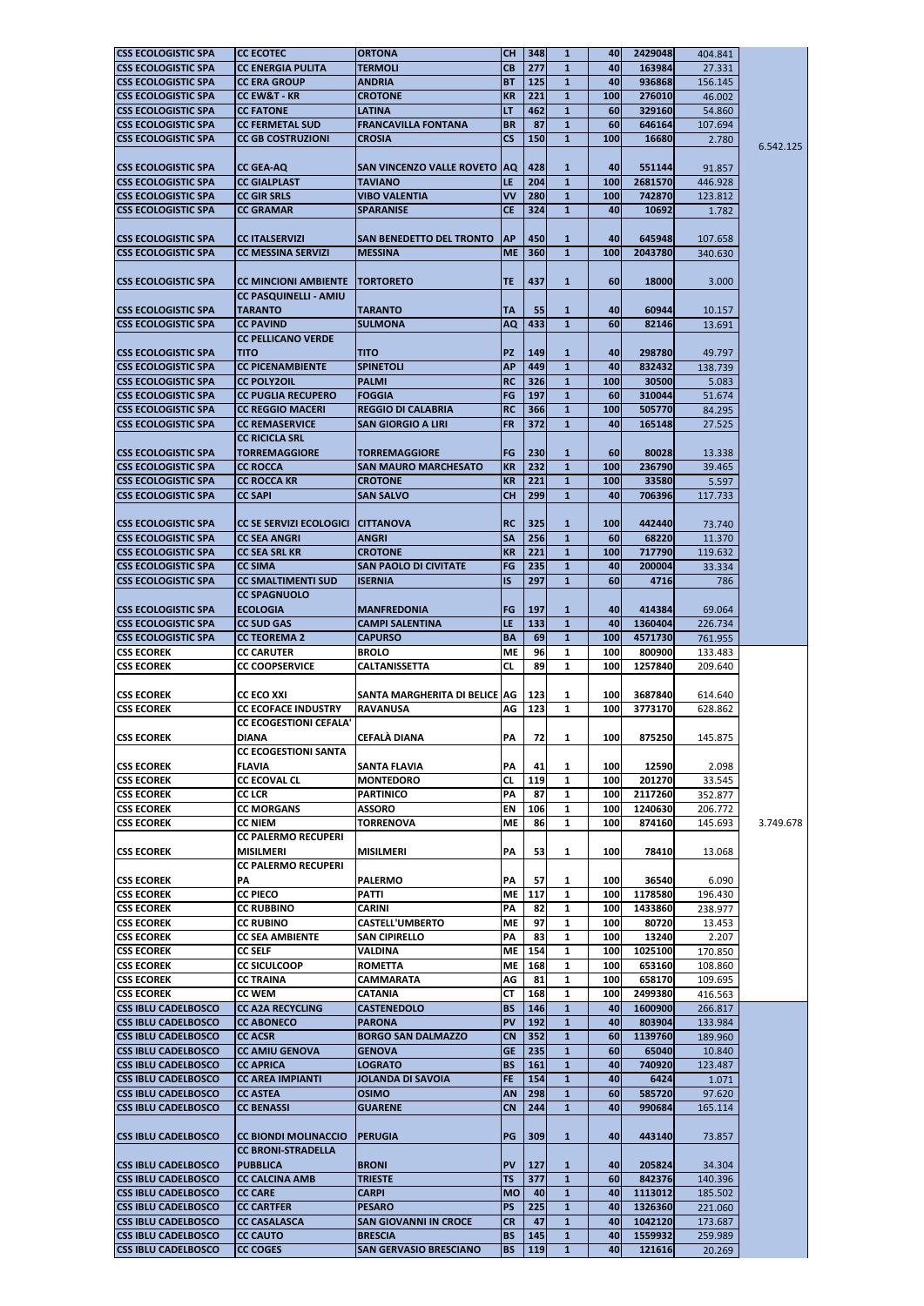| <b>ICSS ECOLOGISTIC SPA</b>                              | <b>ICC ECOTEC</b>                  | <b>ORTONA</b>                                   | <b>CH</b>              | 348               | $\mathbf{1}$                 | 40        | 2429048           | 404.841           |           |
|----------------------------------------------------------|------------------------------------|-------------------------------------------------|------------------------|-------------------|------------------------------|-----------|-------------------|-------------------|-----------|
| <b>CSS ECOLOGISTIC SPA</b>                               | <b>CC ENERGIA PULITA</b>           | <b>TERMOLI</b>                                  | <b>CB</b>              | 277               | $\mathbf{1}$                 | 40        | 163984            | 27.331            |           |
| <b>CSS ECOLOGISTIC SPA</b>                               | <b>CC ERA GROUP</b>                | ANDRIA                                          | <b>BT</b>              | 125               | $\mathbf{1}$                 | 40        | 936868            | 156.145           |           |
| <b>CSS ECOLOGISTIC SPA</b>                               | <b>CC EW&amp;T - KR</b>            | <b>CROTONE</b>                                  | <b>KR</b>              | 221               | $\mathbf{1}$                 | 100       | 276010            | 46.002            |           |
|                                                          |                                    |                                                 |                        |                   |                              |           |                   |                   |           |
| <b>CSS ECOLOGISTIC SPA</b>                               | <b>CC FATONE</b>                   | <b>LATINA</b>                                   | LT                     | 462               | $\mathbf{1}$                 | 60        | 329160            | 54.860            |           |
| <b>CSS ECOLOGISTIC SPA</b>                               | <b>CC FERMETAL SUD</b>             | <b>FRANCAVILLA FONTANA</b>                      | <b>BR</b>              | 87                | $\mathbf{1}$                 | 60        | 646164            | 107.694           |           |
| <b>CSS ECOLOGISTIC SPA</b>                               | <b>CC GB COSTRUZIONI</b>           | <b>CROSIA</b>                                   | $\mathsf{CS}$          | 150               | $\mathbf{1}$                 | 100       | 16680             | 2.780             |           |
|                                                          |                                    |                                                 |                        |                   |                              |           |                   |                   | 6.542.125 |
|                                                          |                                    |                                                 |                        |                   |                              |           |                   |                   |           |
| <b>CSS ECOLOGISTIC SPA</b>                               | <b>CC GEA-AQ</b>                   | SAN VINCENZO VALLE ROVETO AQ                    |                        | 428               | $\mathbf{1}$                 | 40        | 551144            | 91.857            |           |
| <b>CSS ECOLOGISTIC SPA</b>                               | <b>CC GIALPLAST</b>                | <b>TAVIANO</b>                                  | LE                     | 204               | $\mathbf{1}$                 | 100       | 2681570           | 446.928           |           |
| <b>CSS ECOLOGISTIC SPA</b>                               | <b>CC GIR SRLS</b>                 | <b>VIBO VALENTIA</b>                            | <b>VV</b>              | 280               | $\mathbf{1}$                 | 100       | 742870            | 123.812           |           |
| <b>CSS ECOLOGISTIC SPA</b>                               | <b>CC GRAMAR</b>                   | <b>SPARANISE</b>                                | <b>CE</b>              | 324               | $\mathbf{1}$                 | 40        | 10692             | 1.782             |           |
|                                                          |                                    |                                                 |                        |                   |                              |           |                   |                   |           |
|                                                          |                                    |                                                 |                        |                   |                              |           |                   |                   |           |
| <b>ICSS ECOLOGISTIC SPA</b>                              | <b>CC ITALSERVIZI</b>              | SAN BENEDETTO DEL TRONTO                        | <b>AP</b>              | 450               | 1                            | 40        | 645948            | 107.658           |           |
| <b>CSS ECOLOGISTIC SPA</b>                               | <b>CC MESSINA SERVIZI</b>          | <b>MESSINA</b>                                  | <b>ME</b>              | 360               | $\mathbf{1}$                 | 100       | 2043780           | 340.630           |           |
|                                                          |                                    |                                                 |                        |                   |                              |           |                   |                   |           |
|                                                          |                                    |                                                 |                        |                   |                              |           |                   |                   |           |
| <b>CSS ECOLOGISTIC SPA</b>                               | <b>CC MINCIONI AMBIENTE</b>        | TORTORETO                                       | <b>TE</b>              | 437               | $\mathbf{1}$                 | 60        | 18000             | 3.000             |           |
|                                                          | <b>CC PASQUINELLI - AMIU</b>       |                                                 |                        |                   |                              |           |                   |                   |           |
| <b>ICSS ECOLOGISTIC SPA</b>                              | <b>TARANTO</b>                     | <b>TARANTO</b>                                  | <b>TA</b>              | 55                | $\mathbf{1}$                 | 40        | 60944             | 10.157            |           |
|                                                          |                                    |                                                 |                        |                   |                              |           |                   |                   |           |
| <b>CSS ECOLOGISTIC SPA</b>                               | <b>CC PAVIND</b>                   | <b>SULMONA</b>                                  | <b>AQ</b>              | 433               | $\mathbf{1}$                 | 60        | 82146             | 13.691            |           |
|                                                          | <b>CC PELLICANO VERDE</b>          |                                                 |                        |                   |                              |           |                   |                   |           |
| <b>ICSS ECOLOGISTIC SPA</b>                              | <b>TITO</b>                        | <b>TITO</b>                                     | <b>PZ</b>              | 149               | $\mathbf{1}$                 | 40        | 298780            | 49.797            |           |
| <b>CSS ECOLOGISTIC SPA</b>                               | <b>CC PICENAMBIENTE</b>            | <b>SPINETOLI</b>                                | <b>AP</b>              | 449               | $\mathbf{1}$                 | 40        | 832432            | 138.739           |           |
|                                                          |                                    |                                                 |                        |                   |                              |           |                   |                   |           |
| <b>CSS ECOLOGISTIC SPA</b>                               | <b>ICC POLY2OIL</b>                | <b>PALMI</b>                                    | <b>RC</b>              | 326               | $\mathbf{1}$                 | 100       | 30500             | 5.083             |           |
| <b>CSS ECOLOGISTIC SPA</b>                               | <b>CC PUGLIA RECUPERO</b>          | <b>FOGGIA</b>                                   | FG                     | 197               | $\mathbf{1}$                 | 60        | 310044            | 51.674            |           |
| <b>CSS ECOLOGISTIC SPA</b>                               | <b>CC REGGIO MACERI</b>            | <b>REGGIO DI CALABRIA</b>                       | <b>RC</b>              | 366               | $\mathbf{1}$                 | 100       | 505770            | 84.295            |           |
|                                                          |                                    |                                                 |                        |                   |                              |           |                   |                   |           |
| <b>CSS ECOLOGISTIC SPA</b>                               | <b>CC REMASERVICE</b>              | SAN GIORGIO A LIRI                              | <b>FR</b>              | 372               | $\mathbf{1}$                 | 40        | 165148            | 27.525            |           |
|                                                          | <b>CC RICICLA SRL</b>              |                                                 |                        |                   |                              |           |                   |                   |           |
| <b>CSS ECOLOGISTIC SPA</b>                               | <b>TORREMAGGIORE</b>               | <b>TORREMAGGIORE</b>                            | FG                     | 230               | $\mathbf{1}$                 | <b>60</b> | 80028             | 13.338            |           |
|                                                          |                                    | <b>SAN MAURO MARCHESATO</b>                     |                        |                   |                              |           |                   |                   |           |
| <b>CSS ECOLOGISTIC SPA</b>                               | <b>ICC ROCCA</b>                   |                                                 | <b>KR</b>              | 232               | $\mathbf{1}$                 | 100       | 236790            | 39.465            |           |
| <b>CSS ECOLOGISTIC SPA</b>                               | <b>CC ROCCA KR</b>                 | <b>CROTONE</b>                                  | <b>KR</b>              | 221               | $\mathbf{1}$                 | 100       | 33580             | 5.597             |           |
| <b>CSS ECOLOGISTIC SPA</b>                               | <b>CC SAPI</b>                     | <b>SAN SALVO</b>                                | <b>CH</b>              | 299               | $\mathbf{1}$                 | 40        | 706396            | 117.733           |           |
|                                                          |                                    |                                                 |                        |                   |                              |           |                   |                   |           |
|                                                          |                                    |                                                 |                        |                   |                              |           |                   |                   |           |
| ICSS ECOLOGISTIC SPA                                     | <b>CC SE SERVIZI ECOLOGICI</b>     | <b>ICITTANOVA</b>                               | <b>RC</b>              | 325               | 1                            | 100       | 442440            | 73.740            |           |
| <b>ICSS ECOLOGISTIC SPA</b>                              | ICC SEA ANGRI                      | <b>ANGRI</b>                                    | ISA.                   | 256               | 1                            | 60        | 68220             | 11.370            |           |
| <b>CSS ECOLOGISTIC SPA</b>                               | <b>CC SEA SRL KR</b>               | <b>CROTONE</b>                                  | <b>KR</b>              | 221               | $\mathbf{1}$                 | 100       | 717790            | 119.632           |           |
|                                                          |                                    |                                                 | FG                     | 235               | $\mathbf{1}$                 | 40        |                   |                   |           |
| <b>ICSS ECOLOGISTIC SPA</b>                              | <b>CC SIMA</b>                     | <b>SAN PAOLO DI CIVITATE</b>                    |                        |                   |                              |           | 200004            | 33.334            |           |
| <b>lCSS ECOLOGISTIC SPA</b>                              | <b>CC SMALTIMENTI SUD</b>          | <b>ISERNIA</b>                                  | <b>IS</b>              | 297               | $\mathbf{1}$                 | 60        | 4716              | 786               |           |
|                                                          | <b>CC SPAGNUOLO</b>                |                                                 |                        |                   |                              |           |                   |                   |           |
| <b>lCSS ECOLOGISTIC SPA</b>                              | <b>ECOLOGIA</b>                    | <b>MANFREDONIA</b>                              | <b>FG</b>              | 197               | 1                            | 40        | 414384            | 69.064            |           |
|                                                          |                                    |                                                 |                        |                   |                              |           |                   |                   |           |
| <b>lCSS ECOLOGISTIC SPA</b>                              | <b>CC SUD GAS</b>                  | <b>CAMPI SALENTINA</b>                          | LE                     | 133               | $\mathbf{1}$                 | 40        | 1360404           | 226.734           |           |
| <b>CSS ECOLOGISTIC SPA</b>                               | <b>CC TEOREMA 2</b>                | <b>CAPURSO</b>                                  | <b>BA</b>              | 69                | $\mathbf{1}$                 | 100       | 4571730           | 761.955           |           |
|                                                          |                                    |                                                 |                        |                   |                              |           |                   |                   |           |
|                                                          |                                    |                                                 |                        |                   |                              |           |                   |                   |           |
| <b>CSS ECOREK</b>                                        | <b>CC CARUTER</b>                  | <b>BROLO</b>                                    | <b>ME</b>              | 96                | 1                            | 100       | 800900            | 133.483           |           |
| <b>CSS ECOREK</b>                                        | <b>CC COOPSERVICE</b>              | <b>CALTANISSETTA</b>                            | CL                     | 89                | $\mathbf{1}$                 | 100       | 1257840           | 209.640           |           |
|                                                          |                                    |                                                 |                        |                   |                              |           |                   |                   |           |
| <b>ICSS ECOREK</b>                                       | <b>CC ECO XXI</b>                  | SANTA MARGHERITA DI BELICE AG                   |                        | 123               | 1                            | 100       | 3687840           |                   |           |
|                                                          |                                    |                                                 |                        |                   |                              |           |                   | 614.640           |           |
| <b>ICSS ECOREK</b>                                       | <b>CC ECOFACE INDUSTRY</b>         | <b>RAVANUSA</b>                                 | AG                     | 123               | $\mathbf{1}$                 | 100       | 3773170           | 628.862           |           |
|                                                          | <b>CC ECOGESTIONI CEFALA'</b>      |                                                 |                        |                   |                              |           |                   |                   |           |
| <b>ICSS ECOREK</b>                                       | <b>DIANA</b>                       | <b>CEFALÀ DIANA</b>                             | PA                     | 72                | $\mathbf{1}$                 | 100       | 875250            | 145.875           |           |
|                                                          |                                    |                                                 |                        |                   |                              |           |                   |                   |           |
|                                                          | <b>CC ECOGESTIONI SANTA</b>        |                                                 |                        |                   |                              |           |                   |                   |           |
| <b>ICSS ECOREK</b>                                       | <b>FLAVIA</b>                      | SANTA FLAVIA                                    | PA                     | 41                | 1                            | 100       | 12590             | 2.098             |           |
| <b>CSS ECOREK</b>                                        | <b>CC ECOVAL CL</b>                | <b>MONTEDORO</b>                                | <b>CL</b>              | 119               | 1                            | 100       | 201270            | 33.545            |           |
| <b>CSS ECOREK</b>                                        | <b>CC LCR</b>                      | <b>PARTINICO</b>                                | PA                     | 87                | $\mathbf{1}$                 | 100       | 2117260           | 352.877           |           |
|                                                          |                                    |                                                 |                        |                   | $\mathbf{1}$                 | 100       |                   |                   |           |
| <b>CSS ECOREK</b>                                        | <b>CC MORGANS</b>                  | <b>ASSORO</b>                                   | EN                     | 106               |                              |           | 1240630           | 206.772           |           |
| <b>CSS ECOREK</b>                                        | <b>CC NIEM</b>                     | TORRENOVA                                       | <b>ME</b>              | 86                | 1                            | 100       | 874160            | 145.693           | 3.749.678 |
|                                                          | <b>CC PALERMO RECUPERI</b>         |                                                 |                        |                   |                              |           |                   |                   |           |
| <b>ICSS ECOREK</b>                                       | MISILMERI                          | <b>MISILMERI</b>                                | PA                     | 53                | $\mathbf{1}$                 | 100       | 78410             | 13.068            |           |
|                                                          |                                    |                                                 |                        |                   |                              |           |                   |                   |           |
|                                                          | <b>CC PALERMO RECUPERI</b>         |                                                 |                        |                   |                              |           |                   |                   |           |
| <b>ICSS ECOREK</b>                                       | PA                                 | <b>PALERMO</b>                                  | PA                     | 57                | 1                            | 100       | 36540             | 6.090             |           |
| <b>CSS ECOREK</b>                                        | <b>CC PIECO</b>                    | <b>PATTI</b>                                    | <b>ME</b>              | 117               | $\mathbf{1}$                 | 100       | 1178580           | 196.430           |           |
| <b>CSS ECOREK</b>                                        | <b>CC RUBBINO</b>                  | <b>CARINI</b>                                   | PA                     | 82                | $\mathbf{1}$                 | 100       | 1433860           | 238.977           |           |
|                                                          |                                    |                                                 |                        |                   |                              |           |                   |                   |           |
| <b>CSS ECOREK</b>                                        | <b>CC RUBINO</b>                   | <b>CASTELL'UMBERTO</b>                          | <b>ME</b>              | 97                | 1                            | 100       | 80720             | 13.453            |           |
| <b>CSS ECOREK</b>                                        | <b>CC SEA AMBIENTE</b>             | <b>SAN CIPIRELLO</b>                            | PA                     | 83                | 1                            | 100       | 13240             | 2.207             |           |
| <b>CSS ECOREK</b>                                        | <b>CC SELF</b>                     | <b>VALDINA</b>                                  | <b>ME</b>              | 154               | 1                            | 100       | 1025100           | 170.850           |           |
| <b>CSS ECOREK</b>                                        | <b>CC SICULCOOP</b>                | <b>ROMETTA</b>                                  | <b>ME</b>              | 168               | $\mathbf{1}$                 | 100       | 653160            | 108.860           |           |
|                                                          |                                    |                                                 |                        |                   |                              |           |                   |                   |           |
| <b>CSS ECOREK</b>                                        | <b>CC TRAINA</b>                   | <b>CAMMARATA</b>                                | AG                     | 81                | $\mathbf{1}$                 | 100       | 658170            | 109.695           |           |
| <b>ICSS ECOREK</b>                                       | <b>CC WEM</b>                      | <b>CATANIA</b>                                  | <b>CT</b>              | 168               | 1                            | 100       | 2499380           | 416.563           |           |
| <b>CSS IBLU CADELBOSCO</b>                               | <b>CC A2A RECYCLING</b>            | <b>CASTENEDOLO</b>                              | <b>BS</b>              | 146               | $\mathbf{1}$                 | 40        | 1600900           | 266.817           |           |
| <b>CSS IBLU CADELBOSCO</b>                               | <b>CC ABONECO</b>                  | <b>PARONA</b>                                   | <b>PV</b>              | 192               | $\mathbf{1}$                 | 40        | 803904            | 133.984           |           |
|                                                          |                                    |                                                 |                        |                   |                              |           |                   |                   |           |
| <b>CSS IBLU CADELBOSCO</b>                               | <b>CC ACSR</b>                     | <b>BORGO SAN DALMAZZO</b>                       | <b>CN</b>              | 352               | $\mathbf{1}$                 | 60        | 1139760           | 189.960           |           |
| <b>CSS IBLU CADELBOSCO</b>                               | <b>CC AMIU GENOVA</b>              | <b>GENOVA</b>                                   | <b>GE</b>              | 235               | $\mathbf{1}$                 | 60        | 65040             | 10.840            |           |
| <b>CSS IBLU CADELBOSCO</b>                               | <b>CC APRICA</b>                   | <b>LOGRATO</b>                                  | <b>BS</b>              | 161               | $\mathbf{1}$                 | 40        | 740920            | 123.487           |           |
|                                                          |                                    | <b>JOLANDA DI SAVOIA</b>                        |                        |                   |                              |           |                   |                   |           |
| <b>CSS IBLU CADELBOSCO</b>                               | <b>CC AREA IMPIANTI</b>            |                                                 | <b>FE</b>              | 154               | $\mathbf{1}$                 | 40        | 6424              | 1.071             |           |
| <b>CSS IBLU CADELBOSCO</b>                               | <b>ICC ASTEA</b>                   | <b>OSIMO</b>                                    | <b>AN</b>              | 298               | $\mathbf{1}$                 | 60        | 585720            | 97.620            |           |
| <b>CSS IBLU CADELBOSCO</b>                               | <b>CC BENASSI</b>                  | <b>GUARENE</b>                                  | <b>CN</b>              | 244               | $\mathbf{1}$                 | 40        | 990684            | 165.114           |           |
|                                                          |                                    |                                                 |                        |                   |                              |           |                   |                   |           |
|                                                          |                                    |                                                 |                        |                   |                              |           |                   |                   |           |
| <b>CSS IBLU CADELBOSCO</b>                               | ICC BIONDI MOLINACCIO              | <b>PERUGIA</b>                                  | PG                     | 309               | $\mathbf{1}$                 | 40        | 443140            | 73.857            |           |
|                                                          | <b>CC BRONI-STRADELLA</b>          |                                                 |                        |                   |                              |           |                   |                   |           |
| <b>ICSS IBLU CADELBOSCO</b>                              | <b>PUBBLICA</b>                    | <b>BRONI</b>                                    | <b>PV</b>              | 127               | $\mathbf{1}$                 | 40        | 205824            | 34.304            |           |
|                                                          |                                    |                                                 |                        |                   |                              |           |                   |                   |           |
| <b>CSS IBLU CADELBOSCO</b>                               | <b>CC CALCINA AMB</b>              | <b>TRIESTE</b>                                  | <b>TS</b>              | 377               | $\mathbf{1}$                 | 60        | 842376            | 140.396           |           |
| <b>CSS IBLU CADELBOSCO</b>                               | <b>CC CARE</b>                     | <b>CARPI</b>                                    | <b>MO</b>              | 40                | $\mathbf{1}$                 | 40        | 1113012           | 185.502           |           |
| <b>CSS IBLU CADELBOSCO</b>                               | <b>CC CARTFER</b>                  | PESARO                                          | <b>PS</b>              | 225               | $\mathbf{1}$                 | 40        | 1326360           | 221.060           |           |
| <b>CSS IBLU CADELBOSCO</b>                               | <b>CC CASALASCA</b>                | <b>SAN GIOVANNI IN CROCE</b>                    | <b>CR</b>              | 47                | $\mathbf{1}$                 | 40        | 1042120           | 173.687           |           |
|                                                          |                                    |                                                 |                        |                   |                              |           |                   |                   |           |
| <b>CSS IBLU CADELBOSCO</b><br><b>CSS IBLU CADELBOSCO</b> | <b>CC CAUTO</b><br><b>CC COGES</b> | <b>BRESCIA</b><br><b>SAN GERVASIO BRESCIANO</b> | <b>BS</b><br><b>BS</b> | 145<br><b>119</b> | $\mathbf{1}$<br>$\mathbf{1}$ | 40<br>40  | 1559932<br>121616 | 259.989<br>20.269 |           |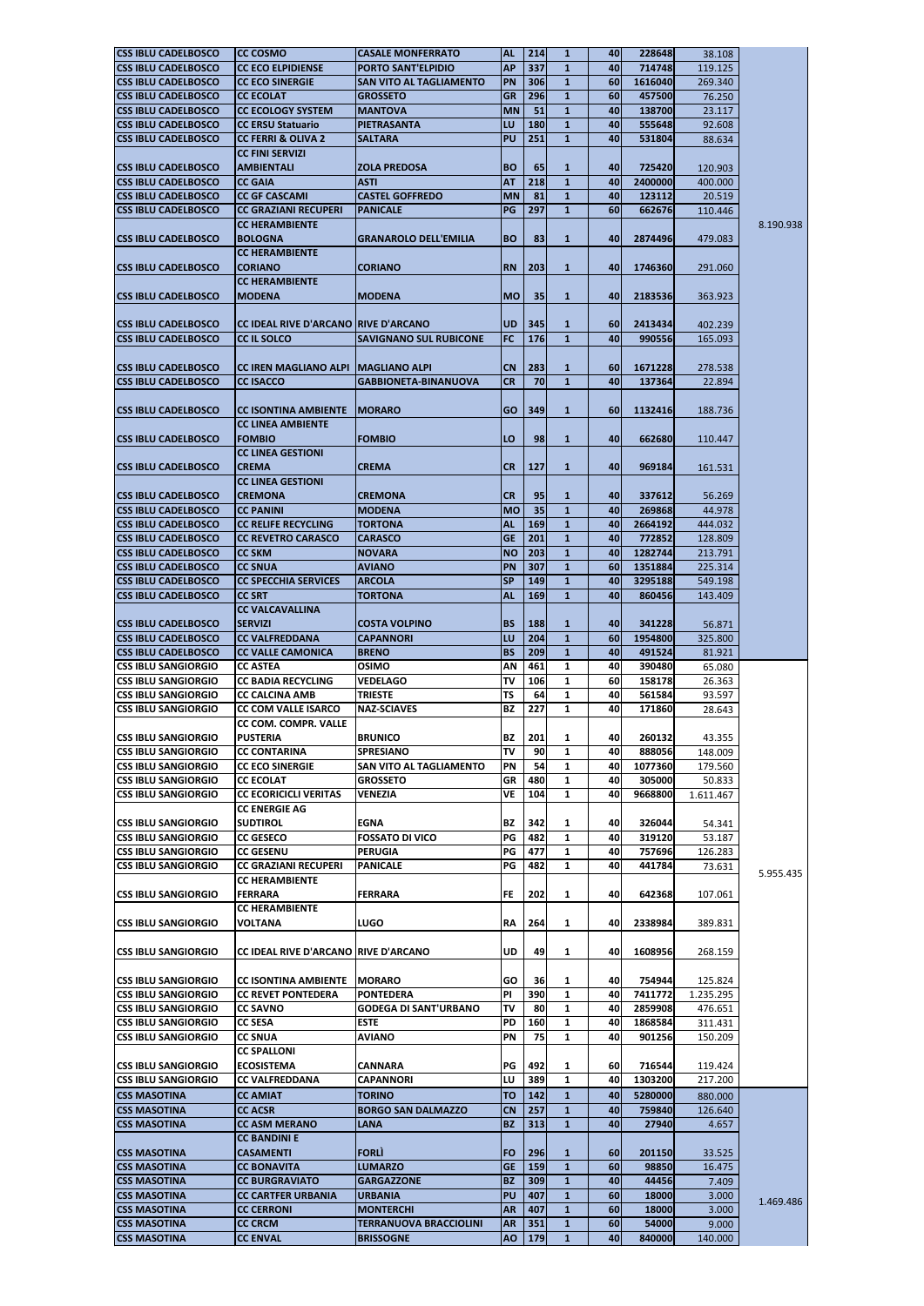| <b>CSS IBLU CADELBOSCO</b>  |                                             |                                |           |     |              |            |          |           |           |
|-----------------------------|---------------------------------------------|--------------------------------|-----------|-----|--------------|------------|----------|-----------|-----------|
|                             | <b>CC COSMO</b>                             | <b>CASALE MONFERRATO</b>       | <b>AL</b> | 214 | $\mathbf{1}$ | 40         | 228648   | 38.108    |           |
| <b>ICSS IBLU CADELBOSCO</b> | <b>CC ECO ELPIDIENSE</b>                    | <b>PORTO SANT'ELPIDIO</b>      | <b>AP</b> | 337 | $\mathbf{1}$ | 40         | 714748   | 119.125   |           |
|                             |                                             |                                |           |     |              |            |          |           |           |
| <b>CSS IBLU CADELBOSCO</b>  | <b>CC ECO SINERGIE</b>                      | <b>SAN VITO AL TAGLIAMENTO</b> | <b>PN</b> | 306 | $\mathbf{1}$ | 60         | 1616040  | 269.340   |           |
| <b>CSS IBLU CADELBOSCO</b>  | <b>CC ECOLAT</b>                            | <b>GROSSETO</b>                | <b>GR</b> | 296 | $\mathbf{1}$ | 60         | 457500   | 76.250    |           |
|                             |                                             |                                |           |     |              |            |          |           |           |
| <b>CSS IBLU CADELBOSCO</b>  | <b>CC ECOLOGY SYSTEM</b>                    | <b>MANTOVA</b>                 | <b>MN</b> | 51  | $\mathbf{1}$ | 40         | 138700   | 23.117    |           |
| <b>CSS IBLU CADELBOSCO</b>  | <b>CC ERSU Statuario</b>                    | PIETRASANTA                    | LU        | 180 | $\mathbf{1}$ | 40         | 555648   | 92.608    |           |
| <b>CSS IBLU CADELBOSCO</b>  | <b>CC FERRI &amp; OLIVA 2</b>               | <b>SALTARA</b>                 | <b>PU</b> | 251 | $\mathbf{1}$ | 40         | 531804   |           |           |
|                             |                                             |                                |           |     |              |            |          | 88.634    |           |
|                             | <b>CC FINI SERVIZI</b>                      |                                |           |     |              |            |          |           |           |
| <b>CSS IBLU CADELBOSCO</b>  | <b>AMBIENTALI</b>                           | <b>ZOLA PREDOSA</b>            | <b>BO</b> | 65  | $\mathbf{1}$ | 40         | 725420   | 120.903   |           |
|                             |                                             |                                |           |     |              |            |          |           |           |
| <b>CSS IBLU CADELBOSCO</b>  | <b>CC GAIA</b>                              | <b>ASTI</b>                    | <b>AT</b> | 218 | $\mathbf{1}$ | 40         | 2400000  | 400.000   |           |
| <b>CSS IBLU CADELBOSCO</b>  | <b>CC GF CASCAMI</b>                        | <b>CASTEL GOFFREDO</b>         | <b>MN</b> | 81  | $\mathbf{1}$ | 40         | 123112   | 20.519    |           |
|                             |                                             |                                |           |     |              |            |          |           |           |
| <b>CSS IBLU CADELBOSCO</b>  | <b>CC GRAZIANI RECUPERI</b>                 | <b>PANICALE</b>                | PG        | 297 | $\mathbf{1}$ | 60         | 662676   | 110.446   |           |
|                             | <b>CC HERAMBIENTE</b>                       |                                |           |     |              |            |          |           | 8.190.938 |
|                             |                                             |                                |           |     |              |            |          |           |           |
| <b>CSS IBLU CADELBOSCO</b>  | <b>BOLOGNA</b>                              | <b>GRANAROLO DELL'EMILIA</b>   | <b>BO</b> | 83  | $\mathbf{1}$ | 40I        | 28744961 | 479.083   |           |
|                             | <b>CC HERAMBIENTE</b>                       |                                |           |     |              |            |          |           |           |
| <b>CSS IBLU CADELBOSCO</b>  | <b>CORIANO</b>                              | <b>CORIANO</b>                 | <b>RN</b> | 203 | $\mathbf{1}$ | 40         | 1746360  |           |           |
|                             |                                             |                                |           |     |              |            |          | 291.060   |           |
|                             | <b>CC HERAMBIENTE</b>                       |                                |           |     |              |            |          |           |           |
| <b>ICSS IBLU CADELBOSCO</b> | <b>MODENA</b>                               | <b>MODENA</b>                  | <b>MO</b> | 35  | $\mathbf{1}$ | 40         | 2183536  | 363.923   |           |
|                             |                                             |                                |           |     |              |            |          |           |           |
|                             |                                             |                                |           |     |              |            |          |           |           |
| <b>CSS IBLU CADELBOSCO</b>  | <b>CC IDEAL RIVE D'ARCANO RIVE D'ARCANO</b> |                                | <b>UD</b> | 345 | $\mathbf{1}$ | <b>60</b>  | 2413434  | 402.239   |           |
|                             |                                             |                                |           |     |              |            |          |           |           |
| <b>ICSS IBLU CADELBOSCO</b> | CC IL SOLCO                                 | <b>SAVIGNANO SUL RUBICONE</b>  | <b>FC</b> | 176 | $\mathbf{1}$ | 40         | 990556   | 165.093   |           |
|                             |                                             |                                |           |     |              |            |          |           |           |
|                             |                                             |                                |           |     |              |            |          |           |           |
| <b>CSS IBLU CADELBOSCO</b>  | <b>CC IREN MAGLIANO ALPI</b>                | <b>IMAGLIANO ALPI</b>          | <b>CN</b> | 283 | $\mathbf{1}$ | 60         | 1671228  | 278.538   |           |
| <b>CSS IBLU CADELBOSCO</b>  | <b>CC ISACCO</b>                            | <b>GABBIONETA-BINANUOVA</b>    | <b>CR</b> | 70  | $\mathbf{1}$ | 40         | 137364   | 22.894    |           |
|                             |                                             |                                |           |     |              |            |          |           |           |
|                             |                                             |                                |           |     |              |            |          |           |           |
| <b>CSS IBLU CADELBOSCO</b>  | <b>CC ISONTINA AMBIENTE</b>                 | <b>MORARO</b>                  | <b>GO</b> | 349 | $\mathbf{1}$ | <b>601</b> | 1132416  | 188.736   |           |
|                             | <b>CC LINEA AMBIENTE</b>                    |                                |           |     |              |            |          |           |           |
|                             |                                             |                                |           |     |              |            |          |           |           |
| <b>ICSS IBLU CADELBOSCO</b> | <b>FOMBIO</b>                               | <b>FOMBIO</b>                  | LO        | 98  | $\mathbf{1}$ | 40         | 662680   | 110.447   |           |
|                             | <b>CC LINEA GESTIONI</b>                    |                                |           |     |              |            |          |           |           |
|                             |                                             |                                |           |     |              |            |          |           |           |
| <b>CSS IBLU CADELBOSCO</b>  | <b>CREMA</b>                                | <b>CREMA</b>                   | <b>CR</b> | 127 | $\mathbf{1}$ | 40         | 969184   | 161.531   |           |
|                             | <b>CC LINEA GESTIONI</b>                    |                                |           |     |              |            |          |           |           |
|                             |                                             |                                |           |     |              |            |          |           |           |
| <b>CSS IBLU CADELBOSCO</b>  | <b>CREMONA</b>                              | <b>CREMONA</b>                 | <b>CR</b> | 95  | 1            | 40         | 337612   | 56.269    |           |
| <b>ICSS IBLU CADELBOSCO</b> | <b>CC PANINI</b>                            | <b>MODENA</b>                  | <b>MO</b> | 35  | 1            | 40         | 269868   | 44.978    |           |
|                             |                                             |                                |           |     |              |            |          |           |           |
| <b>CSS IBLU CADELBOSCO</b>  | <b>CC RELIFE RECYCLING</b>                  | TORTONA                        | <b>AL</b> | 169 | $\mathbf{1}$ | 40         | 2664192  | 444.032   |           |
| <b>CSS IBLU CADELBOSCO</b>  | <b>CC REVETRO CARASCO</b>                   | <b>CARASCO</b>                 | <b>GE</b> | 201 | $\mathbf{1}$ | 40         | 772852   | 128.809   |           |
|                             |                                             |                                |           |     |              |            |          |           |           |
| <b>ICSS IBLU CADELBOSCO</b> | <b>CC SKM</b>                               | <b>NOVARA</b>                  | <b>NO</b> | 203 | $\mathbf{1}$ | 40I        | 1282744  | 213.791   |           |
| <b>CSS IBLU CADELBOSCO</b>  | <b>CC SNUA</b>                              | <b>AVIANO</b>                  | PN        | 307 | $\mathbf{1}$ | <b>60</b>  | 1351884  | 225.314   |           |
|                             |                                             |                                |           |     |              |            |          |           |           |
| <b>CSS IBLU CADELBOSCO</b>  | <b>CC SPECCHIA SERVICES</b>                 | <b>ARCOLA</b>                  | <b>SP</b> | 149 | $\mathbf{1}$ | 40I        | 3295188  | 549.198   |           |
| <b>ICSS IBLU CADELBOSCO</b> | <b>CC SRT</b>                               | TORTONA                        | <b>AL</b> | 169 | $\mathbf{1}$ | 40         | 860456   | 143.409   |           |
|                             |                                             |                                |           |     |              |            |          |           |           |
|                             | <b>CC VALCAVALLINA</b>                      |                                |           |     |              |            |          |           |           |
| <b>CSS IBLU CADELBOSCO</b>  | <b>SERVIZI</b>                              | <b>COSTA VOLPINO</b>           | <b>BS</b> | 188 | $\mathbf{1}$ | 40         | 341228   | 56.871    |           |
| <b>CSS IBLU CADELBOSCO</b>  | <b>CC VALFREDDANA</b>                       | <b>CAPANNORI</b>               | LU        | 204 | $\mathbf{1}$ | 60         | 1954800  | 325.800   |           |
|                             |                                             |                                |           |     |              |            |          |           |           |
| <b>CSS IBLU CADELBOSCO</b>  | <b>CC VALLE CAMONICA</b>                    | <b>BRENO</b>                   | <b>BS</b> | 209 | $\mathbf{1}$ | 40         | 491524   | 81.921    |           |
| <b>ICSS IBLU SANGIORGIO</b> | <b>CC ASTEA</b>                             | <b>OSIMO</b>                   | AN        | 461 | 1            | 40         | 390480   | 65.080    |           |
|                             |                                             |                                |           |     |              |            |          |           |           |
| <b>CSS IBLU SANGIORGIO</b>  | CC BADIA RECYCLING                          | VEDELAGO                       | TV        | 106 | 1            | 60         | 158178   | 26.363    |           |
| <b>CSS IBLU SANGIORGIO</b>  | <b>CC CALCINA AMB</b>                       |                                |           |     | 1            |            |          |           |           |
|                             |                                             |                                |           |     |              |            |          |           |           |
|                             |                                             | TRIESTE                        | <b>TS</b> | 64  |              | 40         | 561584   | 93.597    |           |
| <b>CSS IBLU SANGIORGIO</b>  | <b>CC COM VALLE ISARCO</b>                  | <b>NAZ-SCIAVES</b>             | <b>BZ</b> | 227 | $\mathbf{1}$ | 40         | 171860   | 28.643    |           |
|                             | <b>CC COM. COMPR. VALLE</b>                 |                                |           |     |              |            |          |           |           |
|                             |                                             |                                |           |     |              |            |          |           |           |
| <b>ICSS IBLU SANGIORGIO</b> | <b>PUSTERIA</b>                             | <b>BRUNICO</b>                 | <b>BZ</b> | 201 | 1            | 40         | 260132   | 43.355    |           |
| <b>ICSS IBLU SANGIORGIO</b> | <b>CC CONTARINA</b>                         | <b>SPRESIANO</b>               | <b>TV</b> | 90  | $\mathbf{1}$ | 40         | 888056   | 148.009   |           |
|                             |                                             |                                |           |     |              |            |          |           |           |
| <b>CSS IBLU SANGIORGIO</b>  | <b>CC ECO SINERGIE</b>                      | <b>SAN VITO AL TAGLIAMENTO</b> | PN        | 54  | $\mathbf{1}$ | 40         | 1077360  | 179.560   |           |
| <b>CSS IBLU SANGIORGIO</b>  | <b>CC ECOLAT</b>                            | <b>GROSSETO</b>                | GR        | 480 | $\mathbf{1}$ | 40         | 305000   | 50.833    |           |
|                             |                                             |                                |           |     |              |            |          |           |           |
| <b>ICSS IBLU SANGIORGIO</b> | <b>CC ECORICICLI VERITAS</b>                | VENEZIA                        | <b>VE</b> | 104 | $\mathbf{1}$ | 40         | 9668800  | 1.611.467 |           |
|                             | <b>CC ENERGIE AG</b>                        |                                |           |     |              |            |          |           |           |
| <b>CSS IBLU SANGIORGIO</b>  | <b>SUDTIROL</b>                             | EGNA                           | <b>BZ</b> |     | $\mathbf{1}$ | 40         | 326044   |           |           |
|                             |                                             |                                |           | 342 |              |            |          | 54.341    |           |
| <b>ICSS IBLU SANGIORGIO</b> | <b>CC GESECO</b>                            | <b>FOSSATO DI VICO</b>         | PG        | 482 | $\mathbf{1}$ | 40         | 319120   | 53.187    |           |
| <b>CSS IBLU SANGIORGIO</b>  | <b>CC GESENU</b>                            | <b>PERUGIA</b>                 | PG        | 477 | $\mathbf{1}$ | 40         | 757696   | 126.283   |           |
|                             |                                             |                                |           |     |              |            |          |           |           |
| <b>CSS IBLU SANGIORGIO</b>  | CC GRAZIANI RECUPERI                        | <b>PANICALE</b>                | PG        | 482 | $\mathbf{1}$ | 40         | 441784   | 73.631    | 5.955.435 |
|                             | <b>CC HERAMBIENTE</b>                       |                                |           |     |              |            |          |           |           |
|                             |                                             |                                |           |     |              |            |          |           |           |
| <b>ICSS IBLU SANGIORGIO</b> | <b>FERRARA</b>                              | <b>FERRARA</b>                 | <b>FE</b> | 202 | $\mathbf{1}$ | 40         | 642368   | 107.061   |           |
|                             | <b>CC HERAMBIENTE</b>                       |                                |           |     |              |            |          |           |           |
|                             |                                             |                                |           |     |              |            |          |           |           |
| ICSS IBLU SANGIORGIO        | VOLTANA                                     | LUGO                           | <b>RA</b> | 264 | $\mathbf{1}$ | 40         | 2338984  | 389.831   |           |
|                             |                                             |                                |           |     |              |            |          |           |           |
| <b>ICSS IBLU SANGIORGIO</b> | CC IDEAL RIVE D'ARCANO  RIVE D'ARCANO       |                                | <b>UD</b> | 49  | 1            | 40         | 1608956  | 268.159   |           |
|                             |                                             |                                |           |     |              |            |          |           |           |
|                             |                                             |                                |           |     |              |            |          |           |           |
| <b>CSS IBLU SANGIORGIO</b>  | <b>CC ISONTINA AMBIENTE   MORARO</b>        |                                | <b>GO</b> | 36  | $\mathbf{1}$ | 40         | 754944   | 125.824   |           |
|                             |                                             |                                |           |     |              |            |          |           |           |
| <b>ICSS IBLU SANGIORGIO</b> | <b>CC REVET PONTEDERA</b>                   | <b>PONTEDERA</b>               | PI        | 390 | $\mathbf{1}$ | 40         | 7411772  | 1.235.295 |           |
| <b>CSS IBLU SANGIORGIO</b>  | <b>CC SAVNO</b>                             | <b>GODEGA DI SANT'URBANO</b>   | <b>TV</b> | 80  | $\mathbf{1}$ | 40         | 2859908  | 476.651   |           |
|                             |                                             |                                |           |     |              |            |          |           |           |
| <b>CSS IBLU SANGIORGIO</b>  | <b>CC SESA</b>                              | <b>ESTE</b>                    | <b>PD</b> | 160 | 1            | 40I        | 1868584  | 311.431   |           |
| <b>CSS IBLU SANGIORGIO</b>  | <b>CC SNUA</b>                              | <b>AVIANO</b>                  | PN        | 75  | $\mathbf{1}$ | 40         | 901256   | 150.209   |           |
|                             |                                             |                                |           |     |              |            |          |           |           |
|                             | <b>CC SPALLONI</b>                          |                                |           |     |              |            |          |           |           |
| <b>CSS IBLU SANGIORGIO</b>  | <b>ECOSISTEMA</b>                           | <b>CANNARA</b>                 | PG        | 492 | $\mathbf{1}$ | 60         | 716544   | 119.424   |           |
| <b>CSS IBLU SANGIORGIO</b>  | <b>CC VALFREDDANA</b>                       | <b>CAPANNORI</b>               | LU        | 389 | $\mathbf{1}$ | 40         | 1303200  | 217.200   |           |
|                             |                                             |                                |           |     |              |            |          |           |           |
| <b>CSS MASOTINA</b>         | <b>CC AMIAT</b>                             | <b>TORINO</b>                  | <b>TO</b> | 142 | $\mathbf{1}$ | 40         | 5280000  | 880.000   |           |
| <b>CSS MASOTINA</b>         | <b>CC ACSR</b>                              | <b>BORGO SAN DALMAZZO</b>      | <b>CN</b> | 257 | $\mathbf{1}$ | 40         | 759840   | 126.640   |           |
|                             |                                             |                                |           |     |              |            |          |           |           |
| <b>CSS MASOTINA</b>         | <b>CC ASM MERANO</b>                        | <b>LANA</b>                    | <b>BZ</b> | 313 | $\mathbf{1}$ | 40         | 27940    | 4.657     |           |
|                             | <b>CC BANDINI E</b>                         |                                |           |     |              |            |          |           |           |
|                             |                                             |                                |           |     |              |            |          |           |           |
| <b>CSS MASOTINA</b>         | <b>CASAMENTI</b>                            | <b>FORLI</b>                   | <b>FO</b> | 296 | $\mathbf{1}$ | 60         | 201150   | 33.525    |           |
| <b>CSS MASOTINA</b>         | <b>CC BONAVITA</b>                          | <b>LUMARZO</b>                 | <b>GE</b> | 159 | $\mathbf{1}$ | 60         | 98850    | 16.475    |           |
|                             |                                             |                                |           |     |              |            |          |           |           |
| <b>CSS MASOTINA</b>         | <b>CC BURGRAVIATO</b>                       | <b>GARGAZZONE</b>              | <b>BZ</b> | 309 | $\mathbf{1}$ | 40         | 44456    | 7.409     |           |
| <b>CSS MASOTINA</b>         | <b>CC CARTFER URBANIA</b>                   | <b>URBANIA</b>                 | <b>PU</b> | 407 | $\mathbf{1}$ | 60         | 18000    | 3.000     |           |
|                             |                                             |                                |           |     |              |            |          |           | 1.469.486 |
| <b>CSS MASOTINA</b>         | <b>CC CERRONI</b>                           | <b>MONTERCHI</b>               | <b>AR</b> | 407 | $\mathbf{1}$ | 60         | 18000    | 3.000     |           |
| <b>CSS MASOTINA</b>         | <b>CC CRCM</b>                              | <b>TERRANUOVA BRACCIOLINI</b>  | <b>AR</b> | 351 | $\mathbf{1}$ | 60         | 54000    | 9.000     |           |
| <b>CSS MASOTINA</b>         | <b>CC ENVAL</b>                             | <b>BRISSOGNE</b>               | <b>AO</b> | 179 | $\mathbf{1}$ | 40         | 840000   | 140.000   |           |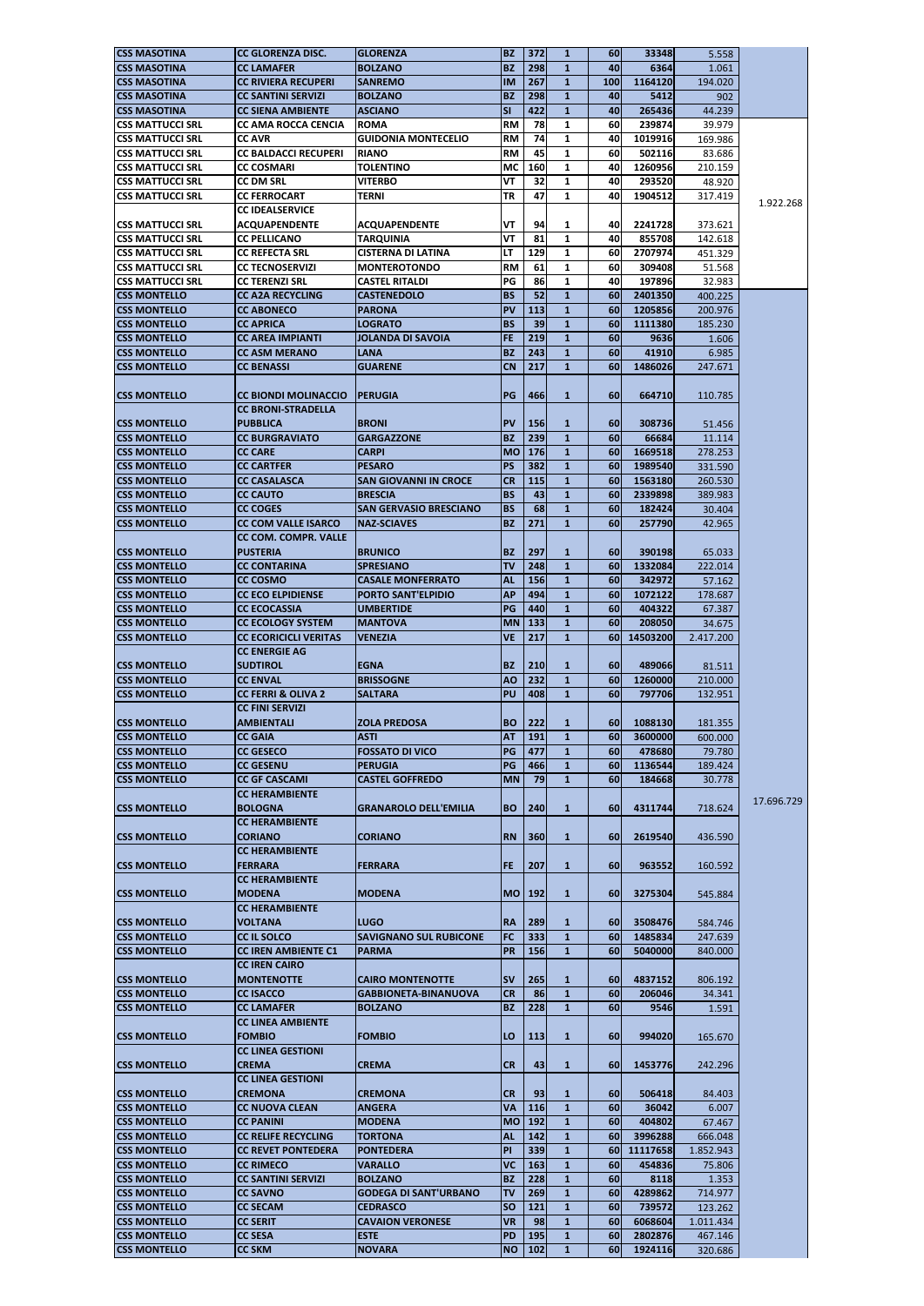| <b>CSS MASOTINA</b>                                                                                                                                           | <b>CC GLORENZA DISC.</b>      | <b>GLORENZA</b>               | <b>BZ</b>               | 372      | $\mathbf{1}$ | 60         | 33348    | 5.558     |            |
|---------------------------------------------------------------------------------------------------------------------------------------------------------------|-------------------------------|-------------------------------|-------------------------|----------|--------------|------------|----------|-----------|------------|
| <b>CSS MASOTINA</b>                                                                                                                                           | <b>CC LAMAFER</b>             | <b>BOLZANO</b>                | <b>BZ</b>               | 298      | $\mathbf{1}$ | 40         | 6364     | 1.061     |            |
|                                                                                                                                                               | <b>CC RIVIERA RECUPERI</b>    | <b>SANREMO</b>                | <b>IM</b>               | 267      |              | 100        | 1164120  |           |            |
| <b>CSS MASOTINA</b>                                                                                                                                           |                               |                               |                         |          | $\mathbf{1}$ |            |          | 194.020   |            |
| <b>CSS MASOTINA</b>                                                                                                                                           | <b>CC SANTINI SERVIZI</b>     | <b>BOLZANO</b>                | <b>BZ</b>               | 298      | $\mathbf{1}$ | 40         | 5412     | 902       |            |
| <b>CSS MASOTINA</b>                                                                                                                                           | <b>CC SIENA AMBIENTE</b>      | <b>ASCIANO</b>                | $\overline{\mathsf{S}}$ | 422      | $\mathbf{1}$ | 40         | 265436   | 44.239    |            |
| <b>CSS MATTUCCI SRL</b>                                                                                                                                       | <b>CC AMA ROCCA CENCIA</b>    | <b>ROMA</b>                   | <b>RM</b>               | 78       | $\mathbf{1}$ | 60         | 239874   | 39.979    |            |
| <b>CSS MATTUCCI SRL</b>                                                                                                                                       | <b>CC AVR</b>                 | <b>GUIDONIA MONTECELIO</b>    | <b>RM</b>               | 74       | $\mathbf{1}$ | 40         | 1019916  | 169.986   |            |
| <b>CSS MATTUCCI SRL</b>                                                                                                                                       | <b>CC BALDACCI RECUPERI</b>   | <b>RIANO</b>                  | <b>RM</b>               | 45       | $\mathbf{1}$ | 60         | 502116   | 83.686    |            |
| <b>CSS MATTUCCI SRL</b>                                                                                                                                       | <b>CC COSMARI</b>             | <b>TOLENTINO</b>              | <b>MC</b>               | 160      | $\mathbf{1}$ | 40         | 1260956  | 210.159   |            |
|                                                                                                                                                               |                               |                               |                         |          |              |            |          |           |            |
| <b>CSS MATTUCCI SRL</b>                                                                                                                                       | <b>CC DM SRL</b>              | <b>VITERBO</b>                | VT                      | 32       | 1            | 40         | 293520   | 48.920    |            |
| <b>CSS MATTUCCI SRL</b>                                                                                                                                       | <b>CC FERROCART</b>           | <b>TERNI</b>                  | TR                      | 47       | $\mathbf{1}$ | 40         | 1904512  | 317.419   | 1.922.268  |
|                                                                                                                                                               | <b>CC IDEALSERVICE</b>        |                               |                         |          |              |            |          |           |            |
| <b>CSS MATTUCCI SRL</b>                                                                                                                                       | <b>ACQUAPENDENTE</b>          | <b>ACQUAPENDENTE</b>          | VT                      | 94       | 1            | 40         | 2241728  | 373.621   |            |
| <b>CSS MATTUCCI SRL</b>                                                                                                                                       | <b>CC PELLICANO</b>           | <b>TARQUINIA</b>              | VT                      | 81       | $\mathbf{1}$ | 40         | 855708   | 142.618   |            |
| <b>CSS MATTUCCI SRL</b>                                                                                                                                       | <b>CC REFECTA SRL</b>         | <b>CISTERNA DI LATINA</b>     | LT                      | 129      | $\mathbf{1}$ | 60         | 2707974  | 451.329   |            |
| CSS MATTUCCI SRL                                                                                                                                              | <b>CC TECNOSERVIZI</b>        | <b>MONTEROTONDO</b>           | <b>RM</b>               | 61       | 1            | 60         |          |           |            |
|                                                                                                                                                               |                               |                               |                         |          |              |            | 309408   | 51.568    |            |
| <b>CSS MATTUCCI SRL</b>                                                                                                                                       | <b>CC TERENZI SRL</b>         | <b>CASTEL RITALDI</b>         | PG                      | 86       | $\mathbf{1}$ | 40         | 197896   | 32.983    |            |
| <b>CSS MONTELLO</b>                                                                                                                                           | <b>CC A2A RECYCLING</b>       | <b>CASTENEDOLO</b>            | <b>BS</b>               | 52       | $\mathbf{1}$ | 60         | 2401350  | 400.225   |            |
| <b>CSS MONTELLO</b>                                                                                                                                           | <b>CC ABONECO</b>             | <b>PARONA</b>                 | <b>PV</b>               | 113      | $\mathbf{1}$ | 60         | 1205856  | 200.976   |            |
| <b>CSS MONTELLO</b>                                                                                                                                           | <b>CC APRICA</b>              | <b>LOGRATO</b>                | <b>BS</b>               | 39       | $\mathbf{1}$ | 60         | 1111380  | 185.230   |            |
| <b>CSS MONTELLO</b>                                                                                                                                           | <b>CC AREA IMPIANTI</b>       | <b>JOLANDA DI SAVOIA</b>      | <b>FE</b>               | 219      | $\mathbf{1}$ | 60         | 9636     | 1.606     |            |
| <b>CSS MONTELLO</b>                                                                                                                                           | <b>CC ASM MERANO</b>          | LANA                          | <b>BZ</b>               | 243      | $\mathbf{1}$ | 60         | 41910    | 6.985     |            |
|                                                                                                                                                               |                               |                               |                         |          |              |            |          |           |            |
| <b>CSS MONTELLO</b>                                                                                                                                           | <b>CC BENASSI</b>             | <b>GUARENE</b>                | <b>CN</b>               | 217      | $\mathbf{1}$ | 60         | 1486026  | 247.671   |            |
|                                                                                                                                                               |                               |                               |                         |          |              |            |          |           |            |
| <b>CSS MONTELLO</b>                                                                                                                                           | <b>CC BIONDI MOLINACCIO</b>   | <b>PERUGIA</b>                | PG                      | 466      | $\mathbf{1}$ | 60         | 664710   | 110.785   |            |
|                                                                                                                                                               | <b>CC BRONI-STRADELLA</b>     |                               |                         |          |              |            |          |           |            |
| <b>CSS MONTELLO</b>                                                                                                                                           | <b>PUBBLICA</b>               | <b>BRONI</b>                  | <b>PV</b>               | 156      | $\mathbf{1}$ | 60         | 308736   | 51.456    |            |
| <b>CSS MONTELLO</b>                                                                                                                                           | <b>CC BURGRAVIATO</b>         | GARGAZZONE                    | <b>BZ</b>               | 239      | $\mathbf{1}$ | 60         | 66684    | 11.114    |            |
|                                                                                                                                                               |                               |                               |                         |          |              |            |          |           |            |
| <b>CSS MONTELLO</b>                                                                                                                                           | <b>CC CARE</b>                | <b>CARPI</b>                  | <b>MO</b>               | 176      | $\mathbf{1}$ | 60         | 1669518  | 278.253   |            |
| <b>CSS MONTELLO</b>                                                                                                                                           | <b>CC CARTFER</b>             | <b>PESARO</b>                 | <b>PS</b>               | 382      | $\mathbf{1}$ | 60         | 1989540  | 331.590   |            |
| <b>CSS MONTELLO</b>                                                                                                                                           | <b>CC CASALASCA</b>           | <b>SAN GIOVANNI IN CROCE</b>  | <b>CR</b>               | 115      | $\mathbf{1}$ | 60         | 1563180  | 260.530   |            |
| <b>CSS MONTELLO</b>                                                                                                                                           | <b>CC CAUTO</b>               | <b>BRESCIA</b>                | <b>BS</b>               | 43       | $\mathbf{1}$ | 60         | 2339898  | 389.983   |            |
| <b>CSS MONTELLO</b>                                                                                                                                           | <b>CC COGES</b>               | <b>SAN GERVASIO BRESCIANO</b> | <b>BS</b>               | 68       | $\mathbf{1}$ | 60         | 182424   | 30.404    |            |
| CSS MONTELLO                                                                                                                                                  | <b>CC COM VALLE ISARCO</b>    | <b>NAZ-SCIAVES</b>            | <b>BZ</b>               | 271      | $\mathbf{1}$ | 60         | 257790   | 42.965    |            |
|                                                                                                                                                               |                               |                               |                         |          |              |            |          |           |            |
|                                                                                                                                                               | <b>CC COM. COMPR. VALLE</b>   |                               |                         |          |              |            |          |           |            |
| <b>CSS MONTELLO</b>                                                                                                                                           | <b>PUSTERIA</b>               | <b>BRUNICO</b>                | <b>BZ</b>               | 297      | $\mathbf{1}$ | 60         | 390198   | 65.033    |            |
| CSS MONTELLO                                                                                                                                                  | <b>CC CONTARINA</b>           | <b>SPRESIANO</b>              | <b>TV</b>               | 248      | $\mathbf{1}$ | 60         | 1332084  | 222.014   |            |
| <b>CSS MONTELLO</b>                                                                                                                                           | <b>CC COSMO</b>               | <b>CASALE MONFERRATO</b>      | <b>AL</b>               | 156      | $\mathbf{1}$ | 60         | 342972   | 57.162    |            |
| <b>CSS MONTELLO</b>                                                                                                                                           | <b>CC ECO ELPIDIENSE</b>      | <b>PORTO SANT'ELPIDIO</b>     | <b>AP</b>               | 494      | $\mathbf{1}$ | 60         | 1072122  | 178.687   |            |
| <b>CSS MONTELLO</b>                                                                                                                                           | <b>CC ECOCASSIA</b>           | UMBERTIDE                     | PG                      | 440      | $\mathbf{1}$ | 60         | 404322   | 67.387    |            |
|                                                                                                                                                               |                               |                               |                         |          |              |            |          |           |            |
| <b>CSS MONTELLO</b>                                                                                                                                           | <b>CC ECOLOGY SYSTEM</b>      | <b>MANTOVA</b>                | <b>MN</b>               | 133      | $\mathbf{1}$ | 60         | 208050   | 34.675    |            |
| <b>CSS MONTELLO</b>                                                                                                                                           | <b>CC ECORICICLI VERITAS</b>  | <b>VENEZIA</b>                | <b>VE</b>               | 217      | $\mathbf{1}$ | <b>60</b>  | 14503200 | 2.417.200 |            |
|                                                                                                                                                               | <b>CC ENERGIE AG</b>          |                               |                         |          |              |            |          |           |            |
| <b>CSS MONTELLO</b>                                                                                                                                           | <b>SUDTIROL</b>               | <b>EGNA</b>                   | <b>BZ</b>               | 210      | $\mathbf{1}$ | 60         | 489066   | 81.511    |            |
| <b>CSS MONTELLO</b>                                                                                                                                           | <b>CC ENVAL</b>               | <b>BRISSOGNE</b>              | <b>AO</b>               | 232      | $\mathbf{1}$ | 60         | 1260000  | 210,000   |            |
| CSS MONTELLO                                                                                                                                                  | <b>CC FERRI &amp; OLIVA 2</b> | <b>SALTARA</b>                | <b>PU</b>               | 408      | $\mathbf{1}$ | 60         | 797706   | 132.951   |            |
|                                                                                                                                                               |                               |                               |                         |          |              |            |          |           |            |
|                                                                                                                                                               | <b>CC FINI SERVIZI</b>        |                               |                         |          |              |            |          |           |            |
| <b>CSS MONTELLO</b>                                                                                                                                           | <b>AMBIENTALI</b>             | <b>ZOLA PREDOSA</b>           | <b>BO</b>               | 222      | $\mathbf{1}$ | <b>60l</b> | 1088130  | 181.355   |            |
| <b>CSS MONTELLO</b>                                                                                                                                           | <b>CC GAIA</b>                | <b>ASTI</b>                   | <b>AT</b>               | 191      | $\mathbf{1}$ | 60         | 3600000  | 600.000   |            |
| <b>CSS MONTELLO</b>                                                                                                                                           | <b>CC GESECO</b>              | <b>FOSSATO DI VICO</b>        | PG                      | 477      | $\mathbf{1}$ | 60         | 478680   | 79.780    |            |
| <b>CSS MONTELLO</b>                                                                                                                                           | <b>CC GESENU</b>              | <b>PERUGIA</b>                | PG                      | 466      | $\mathbf{1}$ | 60         | 1136544  | 189.424   |            |
| <b>CSS MONTELLO</b>                                                                                                                                           | <b>CC GF CASCAMI</b>          | <b>CASTEL GOFFREDO</b>        | <b>MN</b>               | 79       | $\mathbf{1}$ | 60         | 184668   | 30.778    |            |
|                                                                                                                                                               | <b>CC HERAMBIENTE</b>         |                               |                         |          |              |            |          |           |            |
|                                                                                                                                                               |                               |                               |                         |          |              |            |          |           | 17.696.729 |
| <b>CSS MONTELLO</b>                                                                                                                                           | <b>BOLOGNA</b>                | <b>GRANAROLO DELL'EMILIA</b>  | <b>BO</b>               | 240      | $\mathbf{1}$ | <b>60l</b> | 4311744  | 718.624   |            |
|                                                                                                                                                               | <b>CC HERAMBIENTE</b>         |                               |                         |          |              |            |          |           |            |
| <b>CSS MONTELLO</b>                                                                                                                                           | <b>CORIANO</b>                | <b>CORIANO</b>                | <b>RN</b>               | 360      | $\mathbf{1}$ | 60         | 2619540  | 436.590   |            |
|                                                                                                                                                               | <b>CC HERAMBIENTE</b>         |                               |                         |          |              |            |          |           |            |
| <b>CSS MONTELLO</b>                                                                                                                                           | <b>FERRARA</b>                | <b>FERRARA</b>                | FE.                     | 207      | $\mathbf{1}$ | <b>60l</b> | 963552   | 160.592   |            |
|                                                                                                                                                               |                               |                               |                         |          |              |            |          |           |            |
|                                                                                                                                                               | <b>CC HERAMBIENTE</b>         |                               |                         |          |              |            |          |           |            |
| <b>CSS MONTELLO</b>                                                                                                                                           | <b>MODENA</b>                 | <b>MODENA</b>                 |                         | MO   192 | $\mathbf{1}$ | <b>60l</b> | 3275304  | 545.884   |            |
|                                                                                                                                                               | <b>CC HERAMBIENTE</b>         |                               |                         |          |              |            |          |           |            |
| <b>CSS MONTELLO</b>                                                                                                                                           | <b>VOLTANA</b>                | <b>LUGO</b>                   | <b>RA</b>               | 289      | $\mathbf{1}$ | <b>60</b>  | 3508476  | 584.746   |            |
| <b>CSS MONTELLO</b>                                                                                                                                           | <b>CC IL SOLCO</b>            | <b>SAVIGNANO SUL RUBICONE</b> | <b>FC</b>               | 333      | $\mathbf{1}$ | <b>60</b>  | 1485834  | 247.639   |            |
|                                                                                                                                                               |                               |                               |                         |          |              | 60         | 5040000  | 840.000   |            |
|                                                                                                                                                               |                               |                               |                         |          |              |            |          |           |            |
| <b>CSS MONTELLO</b>                                                                                                                                           | <b>CC IREN AMBIENTE C1</b>    | <b>PARMA</b>                  | PR                      | 156      | $\mathbf{1}$ |            |          |           |            |
|                                                                                                                                                               | <b>CC IREN CAIRO</b>          |                               |                         |          |              |            |          |           |            |
|                                                                                                                                                               | <b>MONTENOTTE</b>             | <b>CAIRO MONTENOTTE</b>       | <b>SV</b>               | 265      | $\mathbf{1}$ | <b>60l</b> | 4837152  | 806.192   |            |
|                                                                                                                                                               | <b>CC ISACCO</b>              | <b>GABBIONETA-BINANUOVA</b>   | <b>CR</b>               | 86       | $\mathbf{1}$ | 60         | 206046   | 34.341    |            |
|                                                                                                                                                               | <b>CC LAMAFER</b>             | <b>BOLZANO</b>                | <b>BZ</b>               | 228      | $\mathbf{1}$ | 60         | 9546     | 1.591     |            |
|                                                                                                                                                               | <b>CC LINEA AMBIENTE</b>      |                               |                         |          |              |            |          |           |            |
|                                                                                                                                                               |                               |                               |                         |          |              |            |          |           |            |
| <b>CSS MONTELLO</b><br><b>CSS MONTELLO</b><br><b>CSS MONTELLO</b><br><b>CSS MONTELLO</b>                                                                      | <b>FOMBIO</b>                 | <b>FOMBIO</b>                 | LO                      | 113      | $\mathbf{1}$ | <b>60</b>  | 994020   | 165.670   |            |
|                                                                                                                                                               | <b>CC LINEA GESTIONI</b>      |                               |                         |          |              |            |          |           |            |
|                                                                                                                                                               | <b>CREMA</b>                  | <b>CREMA</b>                  | <b>CR</b>               | 43       | $\mathbf{1}$ | <b>60l</b> | 1453776  | 242.296   |            |
| <b>CSS MONTELLO</b>                                                                                                                                           | <b>CC LINEA GESTIONI</b>      |                               |                         |          |              |            |          |           |            |
|                                                                                                                                                               | <b>CREMONA</b>                | <b>CREMONA</b>                | <b>CR</b>               | 93       | $\mathbf{1}$ | <b>60</b>  | 506418   | 84.403    |            |
|                                                                                                                                                               |                               |                               |                         |          |              |            |          |           |            |
|                                                                                                                                                               | <b>CC NUOVA CLEAN</b>         | <b>ANGERA</b>                 | <b>VA</b>               | 116      | $\mathbf{1}$ | <b>60</b>  | 36042    | 6.007     |            |
|                                                                                                                                                               | <b>CC PANINI</b>              | <b>MODENA</b>                 | <b>MO</b>               | 192      | $\mathbf{1}$ | <b>60</b>  | 404802   | 67.467    |            |
|                                                                                                                                                               | <b>CC RELIFE RECYCLING</b>    | <b>TORTONA</b>                | <b>AL</b>               | 142      | $\mathbf{1}$ | <b>60l</b> | 3996288  | 666.048   |            |
|                                                                                                                                                               | <b>CC REVET PONTEDERA</b>     | <b>PONTEDERA</b>              | PI                      | 339      | $\mathbf{1}$ | <b>60</b>  | 11117658 | 1.852.943 |            |
|                                                                                                                                                               | <b>CC RIMECO</b>              | <b>VARALLO</b>                | <b>VC</b>               | 163      | $\mathbf{1}$ | 60         | 454836   | 75.806    |            |
|                                                                                                                                                               | <b>CC SANTINI SERVIZI</b>     | <b>BOLZANO</b>                | <b>BZ</b>               | 228      | $\mathbf{1}$ | 60         | 8118     | 1.353     |            |
| <b>CSS MONTELLO</b><br><b>CSS MONTELLO</b><br><b>CSS MONTELLO</b><br><b>CSS MONTELLO</b><br><b>CSS MONTELLO</b><br><b>CSS MONTELLO</b><br><b>CSS MONTELLO</b> |                               |                               |                         |          |              |            |          |           |            |
| <b>CSS MONTELLO</b>                                                                                                                                           | <b>CC SAVNO</b>               | <b>GODEGA DI SANT'URBANO</b>  | <b>TV</b>               | 269      | $\mathbf{1}$ | 60         | 4289862  | 714.977   |            |
| <b>CSS MONTELLO</b>                                                                                                                                           | <b>CC SECAM</b>               | <b>CEDRASCO</b>               | <b>SO</b>               | 121      | $\mathbf{1}$ | <b>60</b>  | 739572   | 123.262   |            |
| <b>CSS MONTELLO</b>                                                                                                                                           | <b>CC SERIT</b>               | <b>CAVAION VERONESE</b>       | <b>VR</b>               | 98       | $\mathbf{1}$ | <b>60l</b> | 6068604  | 1.011.434 |            |
| <b>CSS MONTELLO</b>                                                                                                                                           | <b>CC SESA</b>                | <b>ESTE</b>                   | <b>PD</b>               | 195      | $\mathbf{1}$ | <b>60</b>  | 2802876  | 467.146   |            |